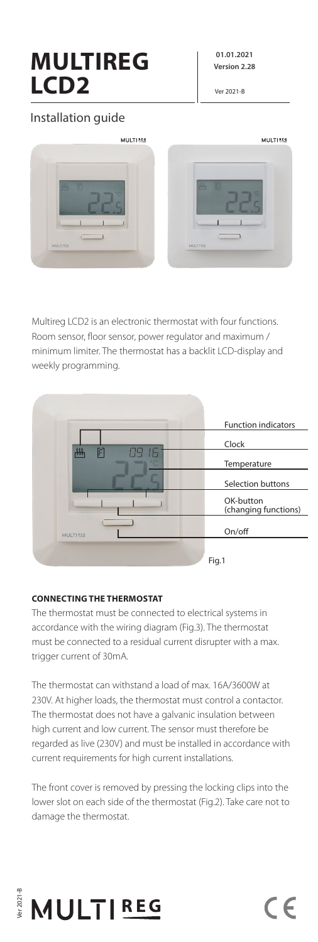# **MULTIREG LCD2**

**01.01.2021 Version 2.28**

Ver 2021-B

# Installation guide



Multireg LCD2 is an electronic thermostat with four functions. Room sensor, floor sensor, power regulator and maximum / minimum limiter. The thermostat has a backlit LCD-display and weekly programming.



# **CONNECTING THE THERMOSTAT**

The thermostat must be connected to electrical systems in accordance with the wiring diagram (Fig.3). The thermostat must be connected to a residual current disrupter with a max. trigger current of 30mA.

The thermostat can withstand a load of max. 16A/3600W at 230V. At higher loads, the thermostat must control a contactor. The thermostat does not have a galvanic insulation between high current and low current. The sensor must therefore be regarded as live (230V) and must be installed in accordance with current requirements for high current installations.

The front cover is removed by pressing the locking clips into the lower slot on each side of the thermostat (Fig.2). Take care not to damage the thermostat.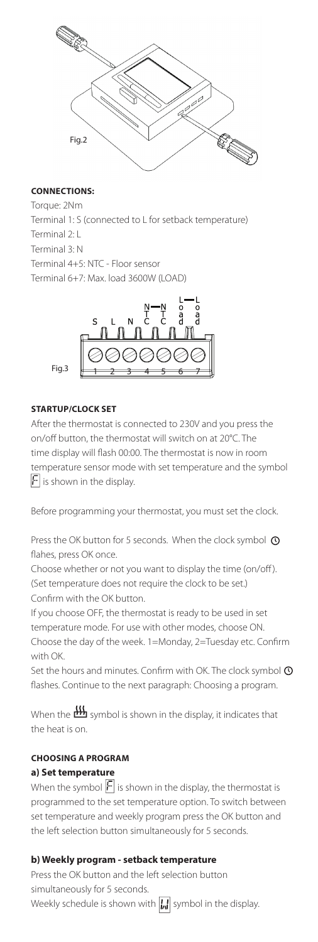

#### **CONNECTIONS:**

Torque: 2Nm Terminal 1: S (connected to L for setback temperature) Terminal 2: L Terminal 3: N Terminal 4+5: NTC - Floor sensor Terminal 6+7: Max. load 3600W (LOAD)



#### **STARTUP/CLOCK SET**

After the thermostat is connected to 230V and you press the on/off button, the thermostat will switch on at 20°C. The time display will flash 00:00. The thermostat is now in room temperature sensor mode with set temperature and the symbol  $|F|$  is shown in the display.

Before programming your thermostat, you must set the clock.

Press the OK button for 5 seconds. When the clock symbol  $\odot$ flahes, press OK once.

Choose whether or not you want to display the time (on/off ). (Set temperature does not require the clock to be set.) Confirm with the OK button.

If you choose OFF, the thermostat is ready to be used in set temperature mode. For use with other modes, choose ON. Choose the day of the week. 1=Monday, 2=Tuesday etc. Confirm with OK.

Set the hours and minutes. Confirm with OK. The clock symbol  $\Phi$ flashes. Continue to the next paragraph: Choosing a program.

When the  $\frac{1}{2}$  symbol is shown in the display, it indicates that the heat is on.

# **CHOOSING A PROGRAM a) Set temperature**

When the symbol  $|F|$  is shown in the display, the thermostat is programmed to the set temperature option. To switch between set temperature and weekly program press the OK button and the left selection button simultaneously for 5 seconds.

#### **b) Weekly program - setback temperature**

Press the OK button and the left selection button simultaneously for 5 seconds.

Weekly schedule is shown with  $\left|\mathbf{u}\right|$  symbol in the display.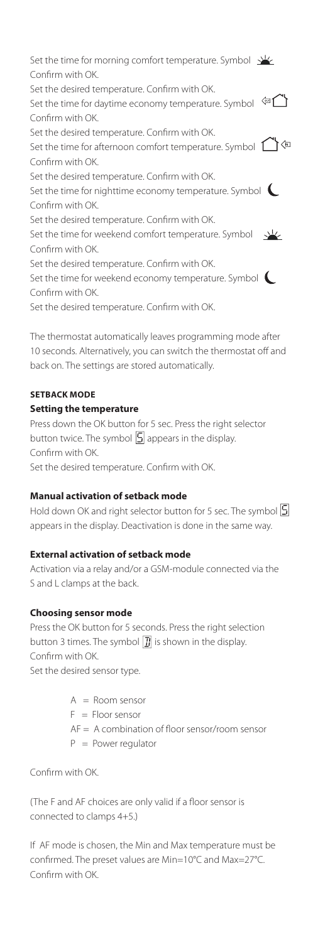Set the time for morning comfort temperature. Symbol  $\frac{1}{2}$ Confirm with OK. Set the desired temperature. Confirm with OK. Set the time for daytime economy temperature. Symbol  $\leftarrow$ Confirm with OK. Set the desired temperature. Confirm with OK. Set the time for afternoon comfort temperature. Symbol  $\bigcirc$ Confirm with OK. Set the desired temperature. Confirm with OK. Set the time for nighttime economy temperature. Symbol Confirm with OK. Set the desired temperature. Confirm with OK. Set the time for weekend comfort temperature. Symbol 坐 Confirm with OK. Set the desired temperature. Confirm with OK. Set the time for weekend economy temperature. Symbol Confirm with OK. Set the desired temperature. Confirm with OK.

The thermostat automatically leaves programming mode after 10 seconds. Alternatively, you can switch the thermostat off and back on. The settings are stored automatically.

# **SETBACK MODE**

#### **Setting the temperature**

Press down the OK button for 5 sec. Press the right selector button twice. The symbol  $\boxed{5}$  appears in the display. Confirm with OK.

Set the desired temperature. Confirm with OK.

#### **Manual activation of setback mode**

Hold down OK and right selector button for 5 sec. The symbol  $\vert 5 \vert$ appears in the display. Deactivation is done in the same way.

# **External activation of setback mode**

Activation via a relay and/or a GSM-module connected via the S and L clamps at the back.

#### **Choosing sensor mode**

Press the OK button for 5 seconds. Press the right selection button 3 times. The symbol  $\boxed{I}$  is shown in the display. Confirm with OK.

Set the desired sensor type.

 $A =$  Room sensor

- $F =$  Floor sensor
- AF = A combination of floor sensor/room sensor
- $P = Power required$

Confirm with OK.

(The F and AF choices are only valid if a floor sensor is connected to clamps 4+5.)

If AF mode is chosen, the Min and Max temperature must be confirmed. The preset values are Min=10°C and Max=27°C. Confirm with OK.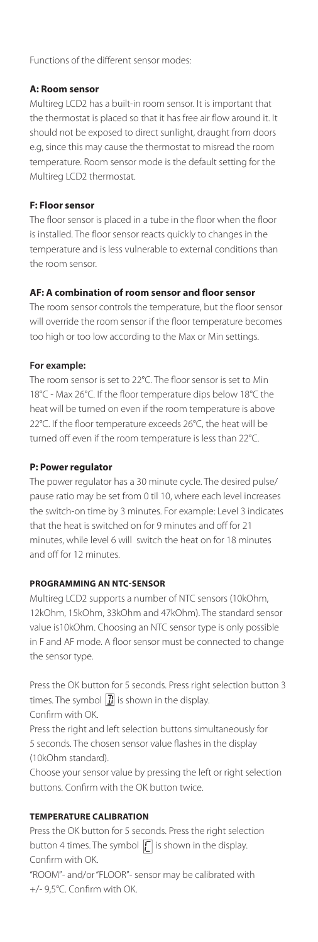Functions of the different sensor modes:

#### **A: Room sensor**

Multireg LCD2 has a built-in room sensor. It is important that the thermostat is placed so that it has free air flow around it. It should not be exposed to direct sunlight, draught from doors e.g, since this may cause the thermostat to misread the room temperature. Room sensor mode is the default setting for the Multireg LCD2 thermostat.

# **F: Floor sensor**

The floor sensor is placed in a tube in the floor when the floor is installed. The floor sensor reacts quickly to changes in the temperature and is less vulnerable to external conditions than the room sensor.

# **AF: A combination of room sensor and floor sensor**

The room sensor controls the temperature, but the floor sensor will override the room sensor if the floor temperature becomes too high or too low according to the Max or Min settings.

# **For example:**

The room sensor is set to 22°C. The floor sensor is set to Min 18°C - Max 26°C. If the floor temperature dips below 18°C the heat will be turned on even if the room temperature is above 22°C. If the floor temperature exceeds 26°C, the heat will be turned off even if the room temperature is less than 22°C.

# **P: Power regulator**

The power regulator has a 30 minute cycle. The desired pulse/ pause ratio may be set from 0 til 10, where each level increases the switch-on time by 3 minutes. For example: Level 3 indicates that the heat is switched on for 9 minutes and off for 21 minutes, while level 6 will switch the heat on for 18 minutes and off for 12 minutes.

# **PROGRAMMING AN NTC-SENSOR**

Multireg LCD2 supports a number of NTC sensors (10kOhm, 12kOhm, 15kOhm, 33kOhm and 47kOhm). The standard sensor value is10kOhm. Choosing an NTC sensor type is only possible in F and AF mode. A floor sensor must be connected to change the sensor type.

Press the OK button for 5 seconds. Press right selection button 3 times. The symbol  $\left| \vec{J} \right|$  is shown in the display. Confirm with OK.

Press the right and left selection buttons simultaneously for 5 seconds. The chosen sensor value flashes in the display (10kOhm standard).

Choose your sensor value by pressing the left or right selection buttons. Confirm with the OK button twice.

# **TEMPERATURE CALIBRATION**

Press the OK button for 5 seconds. Press the right selection button 4 times. The symbol  $\sqrt{2}$  is shown in the display. Confirm with OK.

"ROOM"- and/or "FLOOR"- sensor may be calibrated with +/- 9,5°C. Confirm with OK.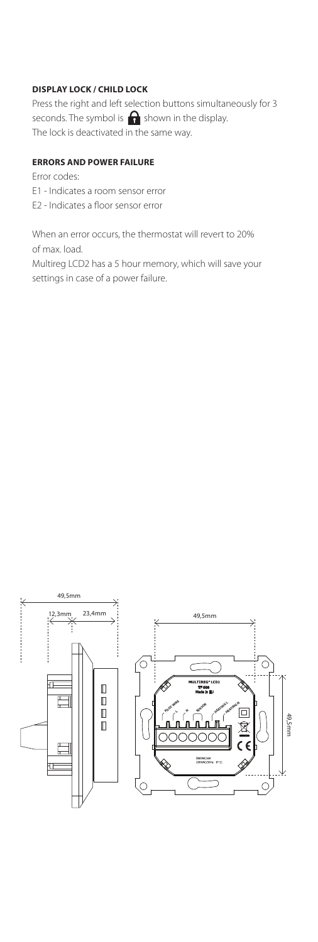#### **DISPLAY LOCK / CHILD LOCK**

Press the right and left selection buttons simultaneously for 3 seconds. The symbol is  $\bigcap$  shown in the display. The lock is deactivated in the same way.

#### **ERRORS AND POWER FAILURE**

Error codes: E1 - Indicates a room sensor error E2 - Indicates a floor sensor error

When an error occurs, the thermostat will revert to 20% of max. load. Multireg LCD2 has a 5 hour memory, which will save your settings in case of a power failure.